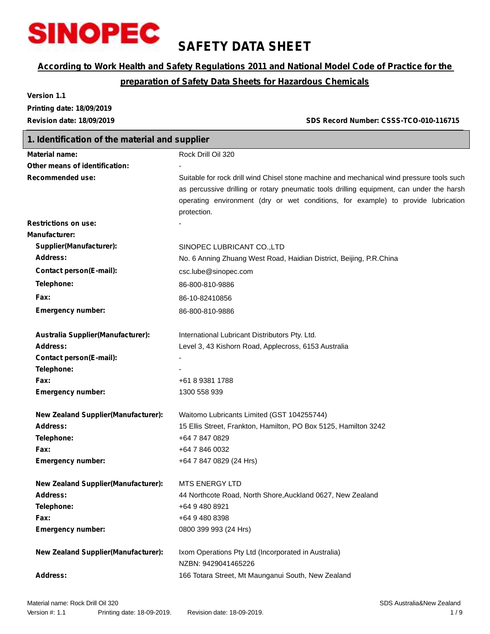

## **SAFETY DATA SHEET**

## *According to Work Health and Safety Regulations 2011 and National Model Code of Practice for the*

## *preparation of Safety Data Sheets for Hazardous Chemicals*

**Version 1.1 Printing date: 18/09/2019**

**Revision date: 18/09/2019 SDS Record Number: CSSS-TCO-010-116715**

| 1. Identification of the material and supplier |                                                                                                                                                                                                                                                                                           |  |  |  |
|------------------------------------------------|-------------------------------------------------------------------------------------------------------------------------------------------------------------------------------------------------------------------------------------------------------------------------------------------|--|--|--|
| <b>Material name:</b>                          | Rock Drill Oil 320                                                                                                                                                                                                                                                                        |  |  |  |
| Other means of identification:                 |                                                                                                                                                                                                                                                                                           |  |  |  |
| <b>Recommended use:</b>                        | Suitable for rock drill wind Chisel stone machine and mechanical wind pressure tools such<br>as percussive drilling or rotary pneumatic tools drilling equipment, can under the harsh<br>operating environment (dry or wet conditions, for example) to provide lubrication<br>protection. |  |  |  |
| <b>Restrictions on use:</b>                    |                                                                                                                                                                                                                                                                                           |  |  |  |
| <b>Manufacturer:</b>                           |                                                                                                                                                                                                                                                                                           |  |  |  |
| Supplier(Manufacturer):                        | SINOPEC LUBRICANT CO., LTD                                                                                                                                                                                                                                                                |  |  |  |
| Address:                                       | No. 6 Anning Zhuang West Road, Haidian District, Beijing, P.R.China                                                                                                                                                                                                                       |  |  |  |
| <b>Contact person(E-mail):</b>                 | csc.lube@sinopec.com                                                                                                                                                                                                                                                                      |  |  |  |
| Telephone:                                     | 86-800-810-9886                                                                                                                                                                                                                                                                           |  |  |  |
| Fax:                                           | 86-10-82410856                                                                                                                                                                                                                                                                            |  |  |  |
| <b>Emergency number:</b>                       | 86-800-810-9886                                                                                                                                                                                                                                                                           |  |  |  |
| Australia Supplier(Manufacturer):              | International Lubricant Distributors Pty. Ltd.                                                                                                                                                                                                                                            |  |  |  |
| Address:                                       | Level 3, 43 Kishorn Road, Applecross, 6153 Australia                                                                                                                                                                                                                                      |  |  |  |
| <b>Contact person(E-mail):</b>                 |                                                                                                                                                                                                                                                                                           |  |  |  |
| Telephone:                                     |                                                                                                                                                                                                                                                                                           |  |  |  |
| Fax:                                           | +61 8 9381 1788                                                                                                                                                                                                                                                                           |  |  |  |
| <b>Emergency number:</b>                       | 1300 558 939                                                                                                                                                                                                                                                                              |  |  |  |
| <b>New Zealand Supplier (Manufacturer):</b>    | Waitomo Lubricants Limited (GST 104255744)                                                                                                                                                                                                                                                |  |  |  |
| Address:                                       | 15 Ellis Street, Frankton, Hamilton, PO Box 5125, Hamilton 3242                                                                                                                                                                                                                           |  |  |  |
| Telephone:                                     | +64 7 847 0829                                                                                                                                                                                                                                                                            |  |  |  |
| Fax:                                           | +64 7 846 0032                                                                                                                                                                                                                                                                            |  |  |  |
| <b>Emergency number:</b>                       | +64 7 847 0829 (24 Hrs)                                                                                                                                                                                                                                                                   |  |  |  |
| <b>New Zealand Supplier (Manufacturer):</b>    | <b>MTS ENERGY LTD</b>                                                                                                                                                                                                                                                                     |  |  |  |
| <b>Address:</b>                                | 44 Northcote Road, North Shore, Auckland 0627, New Zealand                                                                                                                                                                                                                                |  |  |  |
| Telephone:                                     | +64 9 480 8921                                                                                                                                                                                                                                                                            |  |  |  |
| Fax:                                           | +64 9 480 8398                                                                                                                                                                                                                                                                            |  |  |  |
| <b>Emergency number:</b>                       | 0800 399 993 (24 Hrs)                                                                                                                                                                                                                                                                     |  |  |  |
| <b>New Zealand Supplier(Manufacturer):</b>     | Ixom Operations Pty Ltd (Incorporated in Australia)                                                                                                                                                                                                                                       |  |  |  |
|                                                | NZBN: 9429041465226                                                                                                                                                                                                                                                                       |  |  |  |
| <b>Address:</b>                                | 166 Totara Street, Mt Maunganui South, New Zealand                                                                                                                                                                                                                                        |  |  |  |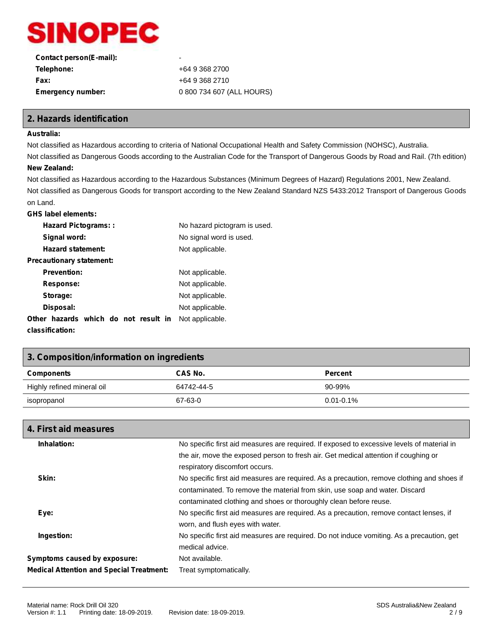

| Contact person(E-mail):  | ۰                         |
|--------------------------|---------------------------|
| Telephone:               | +64 9 368 2700            |
| <b>Fax:</b>              | +64 9 368 2710            |
| <b>Emergency number:</b> | 0 800 734 607 (ALL HOURS) |
|                          |                           |

## **2. Hazards identification**

### **Australia:**

Not classified as Hazardous according to criteria of National Occupational Health and Safety Commission (NOHSC), Australia.

Not classified as Dangerous Goods according to the Australian Code for the Transport of Dangerous Goods by Road and Rail. (7th edition) **New Zealand:**

Not classified as Hazardous according to the Hazardous Substances (Minimum Degrees of Hazard) Regulations 2001, New Zealand. Not classified as Dangerous Goods for transport according to the New Zealand Standard NZS 5433:2012 Transport of Dangerous Goods on Land.

## **GHS label elements:**

| <b>Hazard Pictograms::</b>           | No hazard pictogram is used. |
|--------------------------------------|------------------------------|
| Signal word:                         | No signal word is used.      |
| <b>Hazard statement:</b>             | Not applicable.              |
| Precautionary statement:             |                              |
| <b>Prevention:</b>                   | Not applicable.              |
| Response:                            | Not applicable.              |
| Storage:                             | Not applicable.              |
| Disposal:                            | Not applicable.              |
| Other hazards which do not result in | Not applicable.              |
| classification:                      |                              |

| 3. Composition/information on ingredients |                |                |  |
|-------------------------------------------|----------------|----------------|--|
| <b>Components</b>                         | <b>CAS No.</b> | <b>Percent</b> |  |
| Highly refined mineral oil                | 64742-44-5     | $90 - 99\%$    |  |
| isopropanol                               | 67-63-0        | $0.01 - 0.1\%$ |  |

| 4. First aid measures                           |                                                                                            |  |
|-------------------------------------------------|--------------------------------------------------------------------------------------------|--|
| Inhalation:                                     | No specific first aid measures are required. If exposed to excessive levels of material in |  |
|                                                 | the air, move the exposed person to fresh air. Get medical attention if coughing or        |  |
|                                                 | respiratory discomfort occurs.                                                             |  |
| Skin:                                           | No specific first aid measures are required. As a precaution, remove clothing and shoes if |  |
|                                                 | contaminated. To remove the material from skin, use soap and water. Discard                |  |
|                                                 | contaminated clothing and shoes or thoroughly clean before reuse.                          |  |
| Eye:                                            | No specific first aid measures are required. As a precaution, remove contact lenses, if    |  |
|                                                 | worn, and flush eyes with water.                                                           |  |
| Ingestion:                                      | No specific first aid measures are required. Do not induce vomiting. As a precaution, get  |  |
|                                                 | medical advice.                                                                            |  |
| Symptoms caused by exposure:                    | Not available.                                                                             |  |
| <b>Medical Attention and Special Treatment:</b> | Treat symptomatically.                                                                     |  |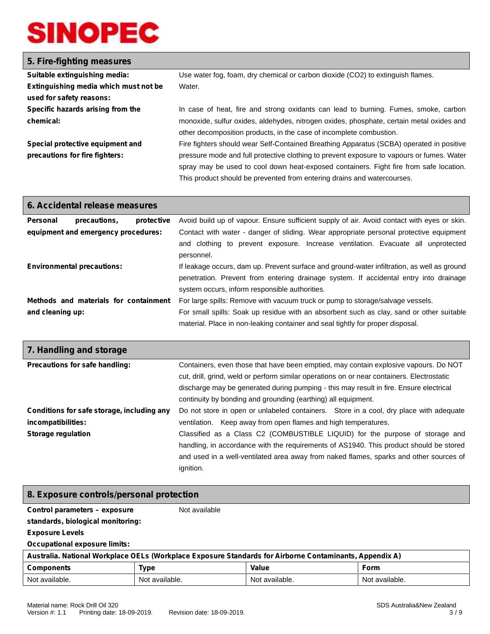## **5. Fire-fighting measures**

| Suitable extinguishing media:         | Use water fog, foam, dry chemical or carbon dioxide (CO2) to extinguish flames.           |  |  |
|---------------------------------------|-------------------------------------------------------------------------------------------|--|--|
| Extinguishing media which must not be | Water.                                                                                    |  |  |
| used for safety reasons:              |                                                                                           |  |  |
| Specific hazards arising from the     | In case of heat, fire and strong oxidants can lead to burning. Fumes, smoke, carbon       |  |  |
| chemical:                             | monoxide, sulfur oxides, aldehydes, nitrogen oxides, phosphate, certain metal oxides and  |  |  |
|                                       | other decomposition products, in the case of incomplete combustion.                       |  |  |
| Special protective equipment and      | Fire fighters should wear Self-Contained Breathing Apparatus (SCBA) operated in positive  |  |  |
| precautions for fire fighters:        | pressure mode and full protective clothing to prevent exposure to vapours or fumes. Water |  |  |
|                                       | spray may be used to cool down heat-exposed containers. Fight fire from safe location.    |  |  |
|                                       | This product should be prevented from entering drains and watercourses.                   |  |  |

| 6. Accidental release measures      |                                                                                                                         |            |                                                                                                |
|-------------------------------------|-------------------------------------------------------------------------------------------------------------------------|------------|------------------------------------------------------------------------------------------------|
| <b>Personal</b>                     | precautions.                                                                                                            | protective | Avoid build up of vapour. Ensure sufficient supply of air. Avoid contact with eyes or skin.    |
| equipment and emergency procedures: |                                                                                                                         |            | Contact with water - danger of sliding. Wear appropriate personal protective equipment         |
|                                     |                                                                                                                         |            | and clothing to prevent exposure. Increase ventilation. Evacuate all unprotected<br>personnel. |
| <b>Environmental precautions:</b>   |                                                                                                                         |            | If leakage occurs, dam up. Prevent surface and ground-water infiltration, as well as ground    |
|                                     |                                                                                                                         |            | penetration. Prevent from entering drainage system. If accidental entry into drainage          |
|                                     |                                                                                                                         |            | system occurs, inform responsible authorities.                                                 |
|                                     | Methods and materials for containment<br>For large spills: Remove with vacuum truck or pump to storage/salvage vessels. |            |                                                                                                |
| and cleaning up:                    |                                                                                                                         |            | For small spills: Soak up residue with an absorbent such as clay, sand or other suitable       |
|                                     |                                                                                                                         |            | material. Place in non-leaking container and seal tightly for proper disposal.                 |

| 7. Handling and storage                                          |                                                                                                                                                                                                                                                                                                                                               |  |  |  |
|------------------------------------------------------------------|-----------------------------------------------------------------------------------------------------------------------------------------------------------------------------------------------------------------------------------------------------------------------------------------------------------------------------------------------|--|--|--|
| Precautions for safe handling:                                   | Containers, even those that have been emptied, may contain explosive vapours. Do NOT<br>cut, drill, grind, weld or perform similar operations on or near containers. Electrostatic<br>discharge may be generated during pumping - this may result in fire. Ensure electrical<br>continuity by bonding and grounding (earthing) all equipment. |  |  |  |
| Conditions for safe storage, including any<br>incompatibilities: | Do not store in open or unlabeled containers. Store in a cool, dry place with adequate<br>ventilation. Keep away from open flames and high temperatures.                                                                                                                                                                                      |  |  |  |
| <b>Storage regulation</b>                                        | Classified as a Class C2 (COMBUSTIBLE LIQUID) for the purpose of storage and<br>handling, in accordance with the requirements of AS1940. This product should be stored<br>and used in a well-ventilated area away from naked flames, sparks and other sources of<br>ignition.                                                                 |  |  |  |

## **8. Exposure controls/personal protection**

**Control parameters – exposure**

Not available

**standards, biological monitoring:**

**Exposure Levels**

**Occupational exposure limits:**

| Australia. National Workplace OELs (Workplace Exposure Standards for Airborne Contaminants, Appendix A) |                |                |                |
|---------------------------------------------------------------------------------------------------------|----------------|----------------|----------------|
| <b>Components</b>                                                                                       | <b>Type</b>    | <b>Value</b>   | Form           |
| Not available.                                                                                          | Not available. | Not available. | Not available. |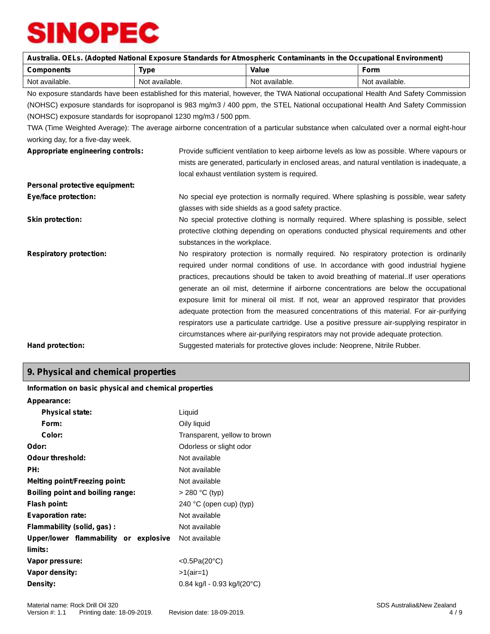| Australia. OELs. (Adopted National Exposure Standards for Atmospheric Contaminants in the Occupational Environment) |                                                                  |                                                                                               |                                                                                                                                    |  |
|---------------------------------------------------------------------------------------------------------------------|------------------------------------------------------------------|-----------------------------------------------------------------------------------------------|------------------------------------------------------------------------------------------------------------------------------------|--|
| <b>Components</b>                                                                                                   | <b>Type</b>                                                      | Value                                                                                         | <b>Form</b>                                                                                                                        |  |
| Not available.                                                                                                      | Not available.                                                   | Not available.                                                                                | Not available.                                                                                                                     |  |
|                                                                                                                     |                                                                  |                                                                                               | No exposure standards have been established for this material, however, the TWA National occupational Health And Safety Commission |  |
|                                                                                                                     |                                                                  |                                                                                               | (NOHSC) exposure standards for isopropanol is 983 mg/m3 / 400 ppm, the STEL National occupational Health And Safety Commission     |  |
|                                                                                                                     | (NOHSC) exposure standards for isopropanol 1230 mg/m3 / 500 ppm. |                                                                                               |                                                                                                                                    |  |
|                                                                                                                     |                                                                  |                                                                                               | TWA (Time Weighted Average): The average airborne concentration of a particular substance when calculated over a normal eight-hour |  |
| working day, for a five-day week.                                                                                   |                                                                  |                                                                                               |                                                                                                                                    |  |
| Appropriate engineering controls:                                                                                   |                                                                  | Provide sufficient ventilation to keep airborne levels as low as possible. Where vapours or   |                                                                                                                                    |  |
|                                                                                                                     |                                                                  | mists are generated, particularly in enclosed areas, and natural ventilation is inadequate, a |                                                                                                                                    |  |
|                                                                                                                     |                                                                  | local exhaust ventilation system is required.                                                 |                                                                                                                                    |  |
| Personal protective equipment:                                                                                      |                                                                  |                                                                                               |                                                                                                                                    |  |
| <b>Eye/face protection:</b>                                                                                         |                                                                  | No special eye protection is normally required. Where splashing is possible, wear safety      |                                                                                                                                    |  |
|                                                                                                                     |                                                                  | glasses with side shields as a good safety practice.                                          |                                                                                                                                    |  |
| <b>Skin protection:</b>                                                                                             |                                                                  | No special protective clothing is normally required. Where splashing is possible, select      |                                                                                                                                    |  |
|                                                                                                                     |                                                                  | protective clothing depending on operations conducted physical requirements and other         |                                                                                                                                    |  |
|                                                                                                                     | substances in the workplace.                                     |                                                                                               |                                                                                                                                    |  |
| <b>Respiratory protection:</b>                                                                                      |                                                                  |                                                                                               | No respiratory protection is normally required. No respiratory protection is ordinarily                                            |  |
|                                                                                                                     |                                                                  | required under normal conditions of use. In accordance with good industrial hygiene           |                                                                                                                                    |  |
|                                                                                                                     |                                                                  | practices, precautions should be taken to avoid breathing of materialIf user operations       |                                                                                                                                    |  |
|                                                                                                                     |                                                                  |                                                                                               | generate an oil mist, determine if airborne concentrations are below the occupational                                              |  |
|                                                                                                                     |                                                                  | exposure limit for mineral oil mist. If not, wear an approved respirator that provides        |                                                                                                                                    |  |
|                                                                                                                     |                                                                  | adequate protection from the measured concentrations of this material. For air-purifying      |                                                                                                                                    |  |
|                                                                                                                     |                                                                  |                                                                                               | respirators use a particulate cartridge. Use a positive pressure air-supplying respirator in                                       |  |
|                                                                                                                     |                                                                  | circumstances where air-purifying respirators may not provide adequate protection.            |                                                                                                                                    |  |
| Hand protection:                                                                                                    |                                                                  | Suggested materials for protective gloves include: Neoprene, Nitrile Rubber.                  |                                                                                                                                    |  |

## **9. Physical and chemical properties**

## **Information on basic physical and chemical properties**

| Appearance:                           |                               |
|---------------------------------------|-------------------------------|
| <b>Physical state:</b>                | Liquid                        |
| Form:                                 | Oily liquid                   |
| Color:                                | Transparent, yellow to brown  |
| Odor:                                 | Odorless or slight odor       |
| Odour threshold:                      | Not available                 |
| PH:                                   | Not available                 |
| <b>Melting point/Freezing point:</b>  | Not available                 |
| Boiling point and boiling range:      | $> 280 °C$ (typ)              |
| Flash point:                          | 240 °C (open cup) (typ)       |
| <b>Evaporation rate:</b>              | Not available                 |
| Flammability (solid, gas):            | Not available                 |
| Upper/lower flammability or explosive | Not available                 |
| limits:                               |                               |
| Vapor pressure:                       | < $0.5Pa(20°C)$               |
| Vapor density:                        | $>1$ (air=1)                  |
| Density:                              | $0.84$ kg/l - 0.93 kg/l(20°C) |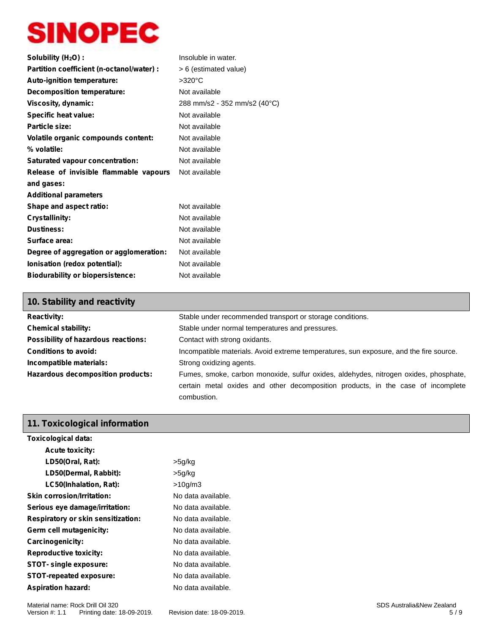| Solubility (H <sub>2</sub> O) :            | Insoluble in water.          |
|--------------------------------------------|------------------------------|
| Partition coefficient (n-octanol/water) :  | > 6 (estimated value)        |
| Auto-ignition temperature:                 | >320°C                       |
| Decomposition temperature:                 | Not available                |
| Viscosity, dynamic:                        | 288 mm/s2 - 352 mm/s2 (40°C) |
| <b>Specific heat value:</b>                | Not available                |
| Particle size:                             | Not available                |
| <b>Volatile organic compounds content:</b> | Not available                |
| % volatile:                                | Not available                |
| Saturated vapour concentration:            | Not available                |
| Release of invisible flammable vapours     | Not available                |
| and gases:                                 |                              |
| <b>Additional parameters</b>               |                              |
| Shape and aspect ratio:                    | Not available                |
| <b>Crystallinity:</b>                      | Not available                |
| <b>Dustiness:</b>                          | Not available                |
| Surface area:                              | Not available                |
| Degree of aggregation or agglomeration:    | Not available                |
| Ionisation (redox potential):              | Not available                |
| <b>Biodurability or biopersistence:</b>    | Not available                |

## **10. Stability and reactivity**

| <b>Reactivity:</b>                  | Stable under recommended transport or storage conditions.                                                                                                                               |  |  |
|-------------------------------------|-----------------------------------------------------------------------------------------------------------------------------------------------------------------------------------------|--|--|
| <b>Chemical stability:</b>          | Stable under normal temperatures and pressures.                                                                                                                                         |  |  |
| Possibility of hazardous reactions: | Contact with strong oxidants.                                                                                                                                                           |  |  |
| <b>Conditions to avoid:</b>         | Incompatible materials. Avoid extreme temperatures, sun exposure, and the fire source.                                                                                                  |  |  |
| Incompatible materials:             | Strong oxidizing agents.                                                                                                                                                                |  |  |
| Hazardous decomposition products:   | Fumes, smoke, carbon monoxide, sulfur oxides, aldehydes, nitrogen oxides, phosphate,<br>certain metal oxides and other decomposition products, in the case of incomplete<br>combustion. |  |  |

## **11. Toxicological information**

| <b>Toxicological data:</b>                |                    |
|-------------------------------------------|--------------------|
| <b>Acute toxicity:</b>                    |                    |
| LD50(Oral, Rat):                          | $>5$ g/kg          |
| LD50(Dermal, Rabbit):                     | $>5$ g/kg          |
| LC50(Inhalation, Rat):                    | >10q/m3            |
| <b>Skin corrosion/Irritation:</b>         | No data available. |
| Serious eye damage/irritation:            | No data available. |
| <b>Respiratory or skin sensitization:</b> | No data available. |
| Germ cell mutagenicity:                   | No data available. |
| Carcinogenicity:                          | No data available. |
| <b>Reproductive toxicity:</b>             | No data available. |
| STOT- single exposure:                    | No data available. |
| <b>STOT-repeated exposure:</b>            | No data available. |
| <b>Aspiration hazard:</b>                 | No data available. |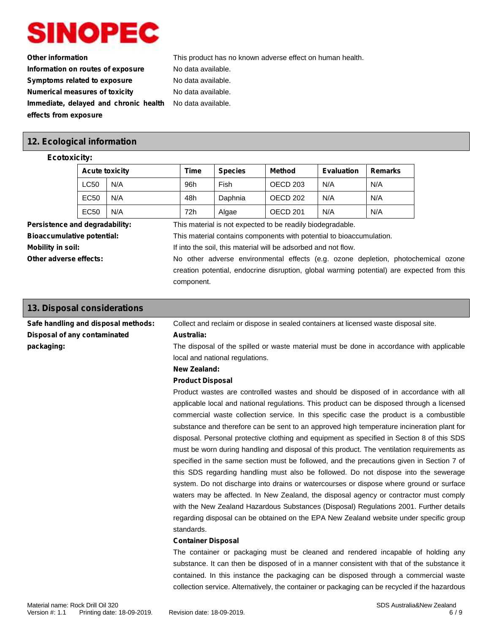

**Other information** This product has no known adverse effect on human health. **Information on routes of exposure** No data available. **Symptoms related to exposure** No data available. **Numerical measures of toxicity** No data available. **Immediate, delayed and chronic health effects from exposure** No data available.

## **12. Ecological information**

### **Ecotoxicity:**

| <b>Acute toxicity</b> |     | Time | <b>Species</b> | Method              | <b>Evaluation</b> | <b>Remarks</b> |
|-----------------------|-----|------|----------------|---------------------|-------------------|----------------|
| <b>LC50</b>           | N/A | 96h  | Fish           | OECD <sub>203</sub> | N/A               | N/A            |
| EC50                  | N/A | 48h  | Daphnia        | OECD 202            | N/A               | N/A            |
| EC50                  | N/A | 72h  | Algae          | OECD 201            | N/A               | N/A            |

**Persistence and degradability:** This material is not expected to be readily biodegradable. **Bioaccumulative potential:** This material contains components with potential to bioaccumulation.

**Mobility in soil:** If into the soil, this material will be adsorbed and not flow.

**Other adverse effects:** No other adverse environmental effects (e.g. ozone depletion, photochemical ozone creation potential, endocrine disruption, global warming potential) are expected from this component.

| 13. Disposal considerations         |                                                                                                |  |
|-------------------------------------|------------------------------------------------------------------------------------------------|--|
| Safe handling and disposal methods: | Collect and reclaim or dispose in sealed containers at licensed waste disposal site.           |  |
| Disposal of any contaminated        | Australia:                                                                                     |  |
| packaging:                          | The disposal of the spilled or waste material must be done in accordance with applicable       |  |
|                                     | local and national regulations.                                                                |  |
|                                     | <b>New Zealand:</b>                                                                            |  |
|                                     | <b>Product Disposal</b>                                                                        |  |
|                                     | Product wastes are controlled wastes and should be disposed of in accordance with all          |  |
|                                     | applicable local and national regulations. This product can be disposed through a licensed     |  |
|                                     | commercial waste collection service. In this specific case the product is a combustible        |  |
|                                     | substance and therefore can be sent to an approved high temperature incineration plant for     |  |
|                                     | disposal. Personal protective clothing and equipment as specified in Section 8 of this SDS     |  |
|                                     | must be worn during handling and disposal of this product. The ventilation requirements as     |  |
|                                     | specified in the same section must be followed, and the precautions given in Section 7 of      |  |
|                                     | this SDS regarding handling must also be followed. Do not dispose into the sewerage            |  |
|                                     | system. Do not discharge into drains or watercourses or dispose where ground or surface        |  |
|                                     | waters may be affected. In New Zealand, the disposal agency or contractor must comply          |  |
|                                     | with the New Zealand Hazardous Substances (Disposal) Regulations 2001. Further details         |  |
|                                     | regarding disposal can be obtained on the EPA New Zealand website under specific group         |  |
|                                     | standards.                                                                                     |  |
|                                     | <b>Container Disposal</b>                                                                      |  |
|                                     | The container or packaging must be cleaned and rendered incapable of holding any               |  |
|                                     | substance. It can then be disposed of in a manner consistent with that of the substance it     |  |
|                                     | contained. In this instance the packaging can be disposed through a commercial waste           |  |
|                                     | collection service. Alternatively, the container or packaging can be recycled if the hazardous |  |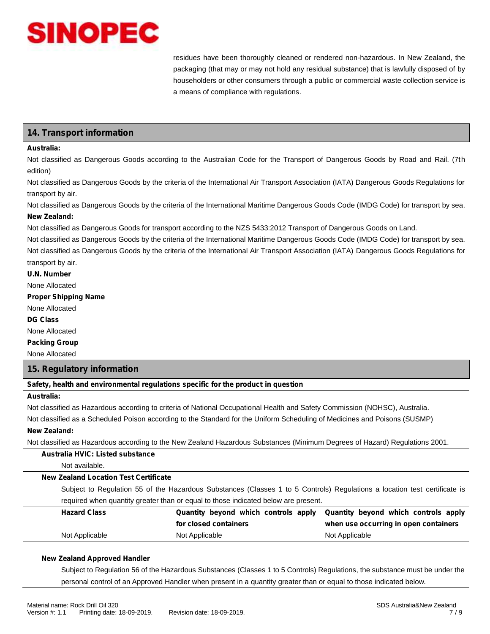

residues have been thoroughly cleaned or rendered non-hazardous. In New Zealand, the packaging (that may or may not hold any residual substance) that is lawfully disposed of by householders or other consumers through a public or commercial waste collection service is a means of compliance with regulations.

## **14. Transport information**

#### **Australia:**

Not classified as Dangerous Goods according to the Australian Code for the Transport of Dangerous Goods by Road and Rail. (7th edition)

Not classified as Dangerous Goods by the criteria of the International Air Transport Association (IATA) Dangerous Goods Regulations for transport by air.

Not classified as Dangerous Goods by the criteria of the International Maritime Dangerous Goods Code (IMDG Code) for transport by sea. **New Zealand:**

Not classified as Dangerous Goods for transport according to the NZS 5433:2012 Transport of Dangerous Goods on Land.

Not classified as Dangerous Goods by the criteria of the International Maritime Dangerous Goods Code (IMDG Code) for transport by sea. Not classified as Dangerous Goods by the criteria of the International Air Transport Association (IATA) Dangerous Goods Regulations for transport by air.

**U.N. Number**

None Allocated

**Proper Shipping Name**

None Allocated

**DG Class**

None Allocated

**Packing Group**

None Allocated

### **15. Regulatory information**

**Safety, health and environmental regulations specific for the product in question**

## **Australia:**

Not classified as Hazardous according to criteria of National Occupational Health and Safety Commission (NOHSC), Australia.

Not classified as a Scheduled Poison according to the Standard for the Uniform Scheduling of Medicines and Poisons (SUSMP)

#### **New Zealand:**

Not classified as Hazardous according to the New Zealand Hazardous Substances (Minimum Degrees of Hazard) Regulations 2001.

## **Australia HVIC: Listed substance**

Not available.

#### **New Zealand Location Test Certificate**

Subject to Regulation 55 of the Hazardous Substances (Classes 1 to 5 Controls) Regulations a location test certificate is required when quantity greater than or equal to those indicated below are present.

| <b>Hazard Class</b> |                       | Quantity beyond which controls apply Quantity beyond which controls apply |
|---------------------|-----------------------|---------------------------------------------------------------------------|
|                     | for closed containers | when use occurring in open containers                                     |
| Not Applicable      | Not Applicable        | Not Applicable                                                            |

#### **New Zealand Approved Handler**

Subject to Regulation 56 of the Hazardous Substances (Classes 1 to 5 Controls) Regulations, the substance must be under the personal control of an Approved Handler when present in a quantity greater than or equal to those indicated below.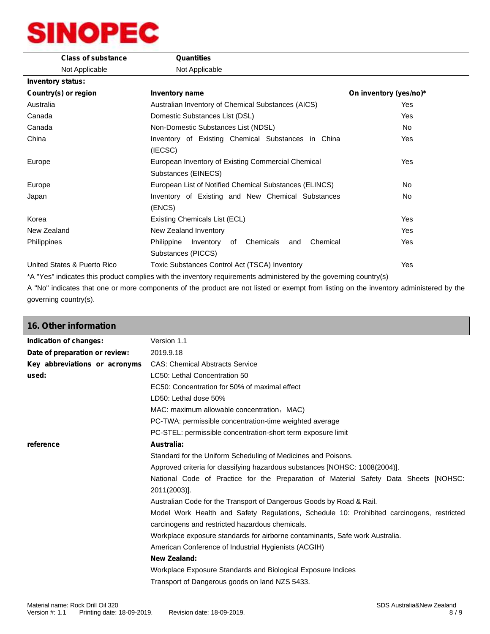| <b>Class of substance</b>   | <b>Quantities</b>                                                                                                                |                        |
|-----------------------------|----------------------------------------------------------------------------------------------------------------------------------|------------------------|
| Not Applicable              | Not Applicable                                                                                                                   |                        |
| <b>Inventory status:</b>    |                                                                                                                                  |                        |
| Country(s) or region        | Inventory name                                                                                                                   | On inventory (yes/no)* |
| Australia                   | Australian Inventory of Chemical Substances (AICS)                                                                               | Yes                    |
| Canada                      | Domestic Substances List (DSL)                                                                                                   | <b>Yes</b>             |
| Canada                      | Non-Domestic Substances List (NDSL)                                                                                              | No.                    |
| China                       | Inventory of Existing Chemical Substances in China                                                                               | <b>Yes</b>             |
|                             | (IECSC)                                                                                                                          |                        |
| Europe                      | European Inventory of Existing Commercial Chemical                                                                               | <b>Yes</b>             |
|                             | Substances (EINECS)                                                                                                              |                        |
| Europe                      | European List of Notified Chemical Substances (ELINCS)                                                                           | No                     |
| Japan                       | Inventory of Existing and New Chemical Substances                                                                                | No.                    |
|                             | (ENCS)                                                                                                                           |                        |
| Korea                       | Existing Chemicals List (ECL)                                                                                                    | Yes                    |
| New Zealand                 | New Zealand Inventory                                                                                                            | Yes                    |
| Philippines                 | Inventory of Chemicals<br>Chemical<br>Philippine<br>and                                                                          | Yes                    |
|                             | Substances (PICCS)                                                                                                               |                        |
| United States & Puerto Rico | Toxic Substances Control Act (TSCA) Inventory                                                                                    | <b>Yes</b>             |
|                             | * All IN/aall is diadee this was dust assemble a with the immediac magnitude as a legislate adjusted by the magnitude and what a |                        |

\*A "Yes" indicates this product complies with the inventory requirements administered by the governing country(s)

A "No" indicates that one or more components of the product are not listed or exempt from listing on the inventory administered by the governing country(s).

| <b>16. Other information</b>   |                                                                                                                                              |
|--------------------------------|----------------------------------------------------------------------------------------------------------------------------------------------|
| Indication of changes:         | Version 1.1                                                                                                                                  |
| Date of preparation or review: | 2019.9.18                                                                                                                                    |
| Key abbreviations or acronyms  | <b>CAS: Chemical Abstracts Service</b>                                                                                                       |
| used:                          | LC50: Lethal Concentration 50                                                                                                                |
|                                | EC50: Concentration for 50% of maximal effect                                                                                                |
|                                | LD50: Lethal dose 50%                                                                                                                        |
|                                | MAC: maximum allowable concentration, MAC)                                                                                                   |
|                                | PC-TWA: permissible concentration-time weighted average                                                                                      |
|                                | PC-STEL: permissible concentration-short term exposure limit                                                                                 |
| reference                      | Australia:                                                                                                                                   |
|                                | Standard for the Uniform Scheduling of Medicines and Poisons.                                                                                |
|                                | Approved criteria for classifying hazardous substances [NOHSC: 1008(2004)].                                                                  |
|                                | National Code of Practice for the Preparation of Material Safety Data Sheets [NOHSC:<br>2011(2003)].                                         |
|                                | Australian Code for the Transport of Dangerous Goods by Road & Rail.                                                                         |
|                                | Model Work Health and Safety Regulations, Schedule 10: Prohibited carcinogens, restricted<br>carcinogens and restricted hazardous chemicals. |
|                                | Workplace exposure standards for airborne contaminants, Safe work Australia.                                                                 |
|                                | American Conference of Industrial Hygienists (ACGIH)                                                                                         |
|                                | New Zealand:                                                                                                                                 |
|                                | Workplace Exposure Standards and Biological Exposure Indices                                                                                 |
|                                | Transport of Dangerous goods on land NZS 5433.                                                                                               |
|                                |                                                                                                                                              |